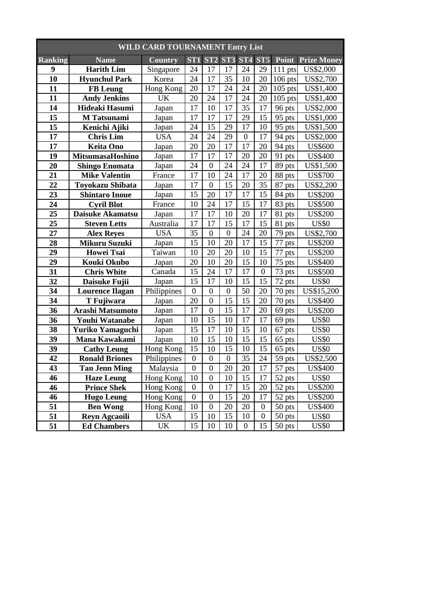| <b>WILD CARD TOURNAMENT Entry List</b> |                         |                |                  |                  |                  |                  |                  |                        |                    |  |
|----------------------------------------|-------------------------|----------------|------------------|------------------|------------------|------------------|------------------|------------------------|--------------------|--|
| <b>Ranking</b>                         | <b>Name</b>             | <b>Country</b> | ST <sub>1</sub>  | ST2              | ST <sub>3</sub>  | ST <sub>4</sub>  | ST <sub>5</sub>  | Point                  | <b>Prize Money</b> |  |
| 9                                      | <b>Harith Lim</b>       | Singapore      | 24               | 17               | 17               | 24               | 29               | 111 pts                | US\$2,000          |  |
| 10                                     | <b>Hyunchul Park</b>    | Korea          | 24               | 17               | 35               | 10               | 20               | $106$ pts              | US\$2,700          |  |
| 11                                     | <b>FB</b> Leung         | Hong Kong      | 20               | 17               | 24               | 24               | 20               | $105$ pts              | US\$1,400          |  |
| 11                                     | <b>Andy Jenkins</b>     | <b>UK</b>      | 20               | 24               | 17               | 24               | 20               | $105$ pts              | US\$1,400          |  |
| 14                                     | Hideaki Hasumi          | Japan          | 17               | 10               | 17               | 35               | 17               | 96 pts                 | US\$2,000          |  |
| 15                                     | <b>M</b> Tatsunami      | Japan          | 17               | 17               | 17               | 29               | 15               | 95 pts                 | US\$1,000          |  |
| 15                                     | Kenichi Ajiki           | Japan          | 24               | 15               | 29               | 17               | 10               | 95 pts                 | US\$1,500          |  |
| 17                                     | <b>Chris Lim</b>        | <b>USA</b>     | 24               | 24               | 29               | $\boldsymbol{0}$ | 17               | 94 pts                 | US\$2,000          |  |
| 17                                     | <b>Keita Ono</b>        | Japan          | 20               | 20               | 17               | 17               | 20               | 94 pts                 | <b>US\$600</b>     |  |
| 19                                     | MitsumasaHoshino        | Japan          | 17               | 17               | 17               | 20               | 20               | 91 pts                 | <b>US\$400</b>     |  |
| 20                                     | <b>Shingo Enomata</b>   | Japan          | 24               | $\boldsymbol{0}$ | 24               | 24               | 17               | 89 pts                 | US\$1,500          |  |
| 21                                     | <b>Mike Valentin</b>    | France         | 17               | 10               | 24               | 17               | 20               | 88 pts                 | <b>US\$700</b>     |  |
| 22                                     | <b>Toyokazu Shibata</b> | Japan          | 17               | $\boldsymbol{0}$ | 15               | 20               | 35               | 87 pts                 | US\$2,200          |  |
| 23                                     | <b>Shintaro Inoue</b>   | Japan          | 15               | 20               | 17               | 17               | 15               | 84 pts                 | <b>US\$200</b>     |  |
| 24                                     | <b>Cyril Blot</b>       | France         | 10               | 24               | 17               | 15               | 17               | 83 pts                 | <b>US\$500</b>     |  |
| 25                                     | Daisuke Akamatsu        | Japan          | 17               | 17               | 10               | 20               | 17               | 81<br>pts              | <b>US\$200</b>     |  |
| 25                                     | <b>Steven Letts</b>     | Australia      | 17               | 17               | 15               | 17               | 15               | 81<br>pts              | <b>US\$0</b>       |  |
| 27                                     | <b>Alex Reyes</b>       | <b>USA</b>     | 35               | $\overline{0}$   | $\overline{0}$   | 24               | 20               | 79 pts                 | US\$2,700          |  |
| 28                                     | Mikuru Suzuki           | Japan          | 15               | 10               | 20               | 17               | 15               | 77<br>pts              | <b>US\$200</b>     |  |
| 29                                     | <b>Howei Tsai</b>       | Taiwan         | 10               | 20               | 20               | 10               | 15               | 77<br>pts              | <b>US\$200</b>     |  |
| 29                                     | <b>Kouki Okubo</b>      | Japan          | 20               | 10               | 20               | 15               | 10               | 75<br>pts              | <b>US\$400</b>     |  |
| 31                                     | <b>Chris White</b>      | Canada         | 15               | 24               | 17               | 17               | $\boldsymbol{0}$ | 73 pts                 | <b>US\$500</b>     |  |
| 32                                     | Daisuke Fujii           | Japan          | 15               | 17               | 10               | 15               | 15               | 72<br>pts              | <b>US\$0</b>       |  |
| 34                                     | <b>Lourence Ilagan</b>  | Philippines    | $\boldsymbol{0}$ | $\boldsymbol{0}$ | $\boldsymbol{0}$ | 50               | 20               | 70 pts                 | US\$15,200         |  |
| 34                                     | T Fujiwara              | Japan          | 20               | $\overline{0}$   | 15               | 15               | 20               | $\overline{7}0$<br>pts | <b>US\$400</b>     |  |
| 36                                     | Arashi Matsumoto        | Japan          | 17               | $\overline{0}$   | 15               | 17               | 20               | $69$ pts               | <b>US\$200</b>     |  |
| 36                                     | <b>Youhi Watanabe</b>   | Japan          | 10               | 15               | 10               | 17               | 17               | 69 pts                 | <b>US\$0</b>       |  |
| 38                                     | Yuriko Yamaguchi        | Japan          | 15               | 17               | 10               | 15               | 10               | 67<br>pts              | <b>US\$0</b>       |  |
| 39                                     | Mana Kawakami           | Japan          | 10               | 15               | 10               | 15               | 15               | 65 pts                 | <b>US\$0</b>       |  |
| 39                                     | <b>Cathy Leung</b>      | Hong Kong      | 15               | 10               | 15               | 10               | 15               | 65 pts                 | <b>US\$0</b>       |  |
| 42                                     | <b>Ronald Briones</b>   | Philippines    | $\boldsymbol{0}$ | $\overline{0}$   | $\overline{0}$   | $\overline{35}$  | 24               | $59$ pts               | US\$2,500          |  |
| 43                                     | <b>Tan Jenn Ming</b>    | Malaysia       | $\boldsymbol{0}$ | $\boldsymbol{0}$ | 20               | 20               | 17               | 57 pts                 | <b>US\$400</b>     |  |
| 46                                     | <b>Haze Leung</b>       | Hong Kong      | 10               | $\boldsymbol{0}$ | 10               | 15               | 17               | 52 pts                 | <b>US\$0</b>       |  |
| 46                                     | <b>Prince Shek</b>      | Hong Kong      | $\boldsymbol{0}$ | $\boldsymbol{0}$ | 17               | 15               | 20               | $\overline{52}$ pts    | <b>US\$200</b>     |  |
| 46                                     | <b>Hugo Leung</b>       | Hong Kong      | $\boldsymbol{0}$ | $\boldsymbol{0}$ | 15               | 20               | 17               | 52 pts                 | <b>US\$200</b>     |  |
| 51                                     | <b>Ben Wong</b>         | Hong Kong      | 10               | $\boldsymbol{0}$ | 20               | 20               | $\boldsymbol{0}$ | 50 pts                 | <b>US\$400</b>     |  |
| 51                                     | <b>Reyn Agcaoili</b>    | <b>USA</b>     | 15               | 10               | 15               | 10               | $\boldsymbol{0}$ | 50 pts                 | <b>US\$0</b>       |  |
| 51                                     | <b>Ed Chambers</b>      | UK             | 15               | 10               | 10               | $\boldsymbol{0}$ | 15               | 50 pts                 | <b>US\$0</b>       |  |